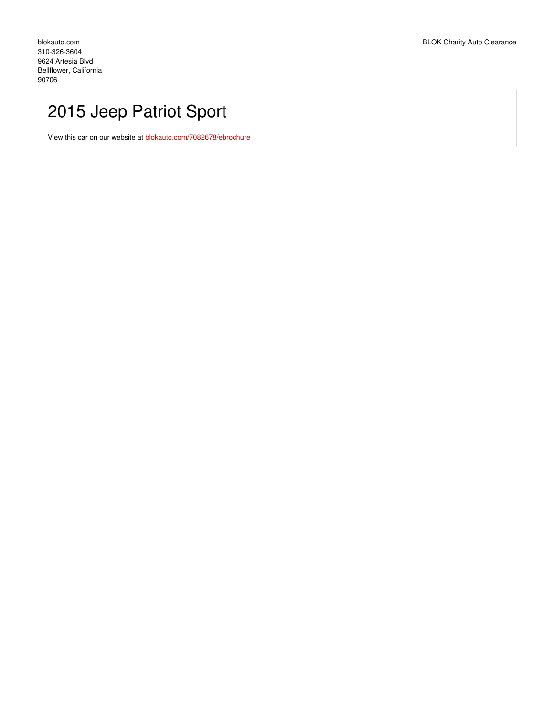## 2015 Jeep Patriot Sport

View this car on our website at [blokauto.com/7082678/ebrochure](https://blokauto.com/vehicle/7082678/2015-jeep-patriot-sport-bellflower-california-90706/7082678/ebrochure)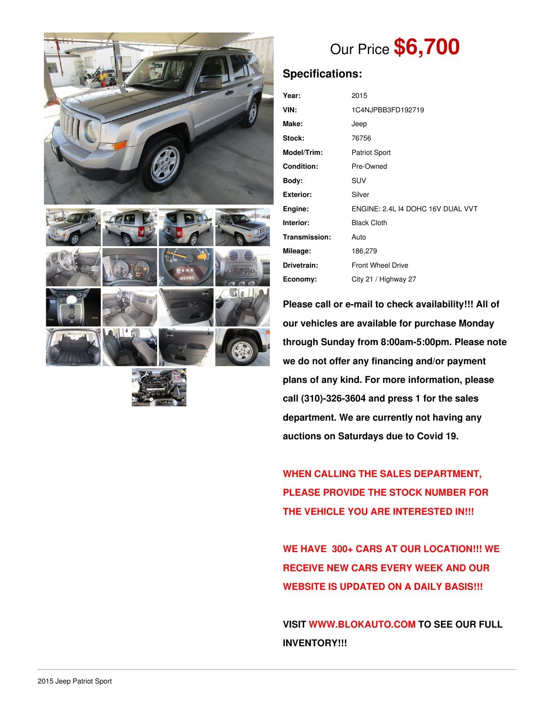



# Our Price **\$6,700**

## **Specifications:**

| Year:             | 2015                              |  |  |
|-------------------|-----------------------------------|--|--|
| VIN:              | 1C4NJPBB3FD192719                 |  |  |
| Make:             | Jeep                              |  |  |
| Stock:            | 76756                             |  |  |
| Model/Trim:       | <b>Patriot Sport</b>              |  |  |
| <b>Condition:</b> | Pre-Owned                         |  |  |
| Body:             | SUV                               |  |  |
| <b>Exterior:</b>  | Silver                            |  |  |
| Engine:           | ENGINE: 2.4L I4 DOHC 16V DUAL VVT |  |  |
| Interior:         | <b>Black Cloth</b>                |  |  |
| Transmission:     | Auto                              |  |  |
| Mileage:          | 186,279                           |  |  |
| Drivetrain:       | <b>Front Wheel Drive</b>          |  |  |
| Economy:          | City 21 / Highway 27              |  |  |

**Please call or e-mail to check availability!!! All of our vehicles are available for purchase Monday through Sunday from 8:00am-5:00pm. Please note we do not offer any financing and/or payment plans of any kind. For more information, please call (310)-326-3604 and press 1 for the sales department. We are currently not having any auctions on Saturdays due to Covid 19.**

**WHEN CALLING THE SALES DEPARTMENT, PLEASE PROVIDE THE STOCK NUMBER FOR THE VEHICLE YOU ARE INTERESTED IN!!!**

**WE HAVE 300+ CARS AT OUR LOCATION!!! WE RECEIVE NEW CARS EVERY WEEK AND OUR WEBSITE IS UPDATED ON A DAILY BASIS!!!**

**VISIT [WWW.BLOKAUTO.COM](http://www.blockauto.com) TO SEE OUR FULL INVENTORY!!!**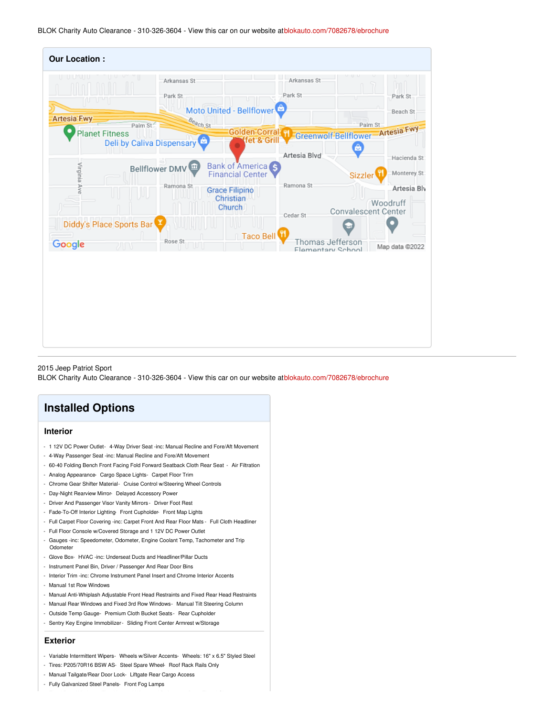BLOK Charity Auto Clearance - 310-326-3604 - View this car on our website at[blokauto.com/7082678/ebrochure](https://blokauto.com/vehicle/7082678/2015-jeep-patriot-sport-bellflower-california-90706/7082678/ebrochure)

| <b>Our Location:</b>                                      |                        |                                                         |                                       |                                        |
|-----------------------------------------------------------|------------------------|---------------------------------------------------------|---------------------------------------|----------------------------------------|
|                                                           | Arkansas St<br>Park St | Moto United - Bellflower                                | Arkansas St<br>Park St                | Park St<br>U<br>Beach St               |
| <b>Artesia Fwy</b><br>Palm St                             | Beach St               | Golden Corral H                                         |                                       | Palm St                                |
| <b>Planet Fitness</b><br><b>Deli by Caliva Dispensary</b> |                        | fet & Grill                                             |                                       | Greenwolf-Bellflower-Artesia Fwy       |
|                                                           |                        |                                                         | Artesia Blvd                          | ê<br>Hacienda St                       |
| Virginia Ave                                              | Bellflower DMV         | Bank of America <sub>S</sub><br><b>Financial Center</b> |                                       | Monterey St<br><b>Sizzler</b>          |
|                                                           | Ramona St              | <b>Grace Filipino</b>                                   | Ramona St                             | Artesia Blv                            |
|                                                           |                        | Christian<br>Church                                     | Cedar St                              | Woodruff<br><b>Convalescent Center</b> |
| Diddy's Place Sports Bar                                  |                        |                                                         |                                       |                                        |
| Google<br>ЛN                                              | Rose St<br>٦U٦         | Taco Bell                                               | Thomas Jefferson<br>Flamentary School | Map data @2022                         |
|                                                           |                        |                                                         |                                       |                                        |
|                                                           |                        |                                                         |                                       |                                        |
|                                                           |                        |                                                         |                                       |                                        |
|                                                           |                        |                                                         |                                       |                                        |
|                                                           |                        |                                                         |                                       |                                        |
|                                                           |                        |                                                         |                                       |                                        |

2015 Jeep Patriot Sport

BLOK Charity Auto Clearance - 310-326-3604 - View this car on our website at[blokauto.com/7082678/ebrochure](https://blokauto.com/vehicle/7082678/2015-jeep-patriot-sport-bellflower-california-90706/7082678/ebrochure)

### **Installed Options**

#### **Interior**

- 1 12V DC Power Outlet- 4-Way Driver Seat -inc: Manual Recline and Fore/Aft Movement
- 4-Way Passenger Seat -inc: Manual Recline and Fore/Aft Movement
- 60-40 Folding Bench Front Facing Fold Forward Seatback Cloth Rear Seat Air Filtration
- Analog Appearance- Cargo Space Lights- Carpet Floor Trim
- Chrome Gear Shifter Material- Cruise Control w/Steering Wheel Controls
- Day-Night Rearview Mirror- Delayed Accessory Power
- Driver And Passenger Visor Vanity Mirrors Driver Foot Rest
- Fade-To-Off Interior Lighting- Front Cupholder- Front Map Lights
- Full Carpet Floor Covering -inc: Carpet Front And Rear Floor Mats Full Cloth Headliner
- Full Floor Console w/Covered Storage and 1 12V DC Power Outlet
- Gauges -inc: Speedometer, Odometer, Engine Coolant Temp, Tachometer and Trip **Odometer**
- Glove Box- HVAC -inc: Underseat Ducts and Headliner/Pillar Ducts
- Instrument Panel Bin, Driver / Passenger And Rear Door Bins
- Interior Trim -inc: Chrome Instrument Panel Insert and Chrome Interior Accents
- Manual 1st Row Windows
- Manual Anti-Whiplash Adjustable Front Head Restraints and Fixed Rear Head Restraints
- Manual Rear Windows and Fixed 3rd Row Windows- Manual Tilt Steering Column
- Outside Temp Gauge- Premium Cloth Bucket Seats Rear Cupholder
- Sentry Key Engine Immobilizer- Sliding Front Center Armrest w/Storage

#### **Exterior**

- Variable Intermittent Wipers- Wheels w/Silver Accents- Wheels: 16" x 6.5" Styled Steel
- Tires: P205/70R16 BSW AS- Steel Spare Wheel- Roof Rack Rails Only
- Manual Tailgate/Rear Door Lock- Liftgate Rear Cargo Access
- Fully Galvanized Steel Panels- Front Fog Lamps